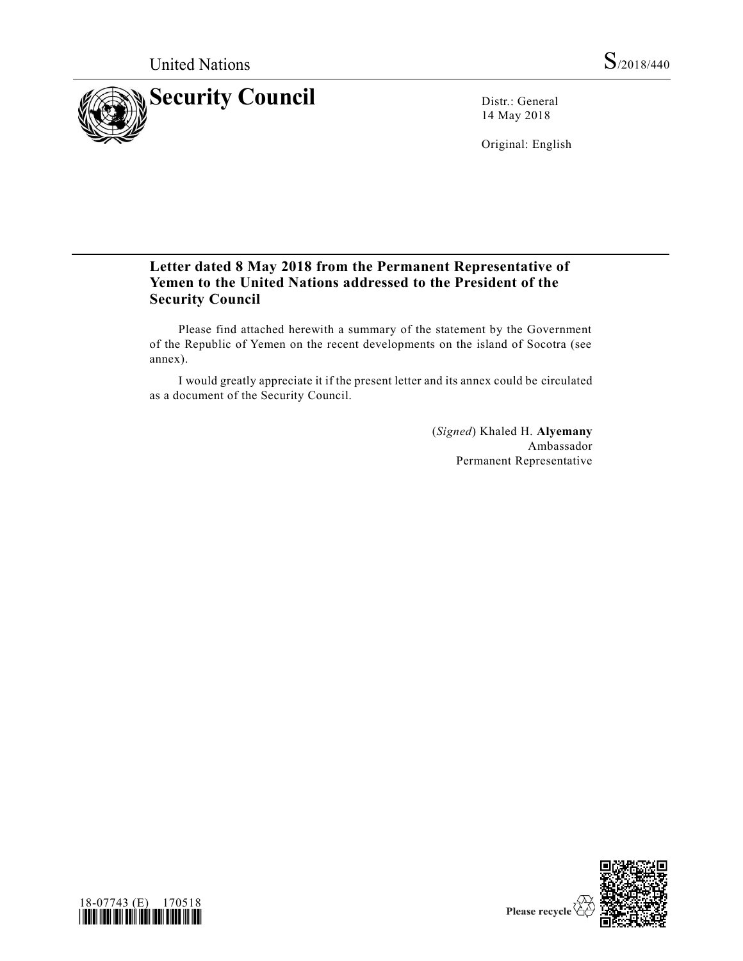

14 May 2018

Original: English

## **Letter dated 8 May 2018 from the Permanent Representative of Yemen to the United Nations addressed to the President of the Security Council**

Please find attached herewith a summary of the statement by the Government of the Republic of Yemen on the recent developments on the island of Socotra (see annex).

I would greatly appreciate it if the present letter and its annex could be circulated as a document of the Security Council.

> (*Signed*) Khaled H. **Alyemany** Ambassador Permanent Representative